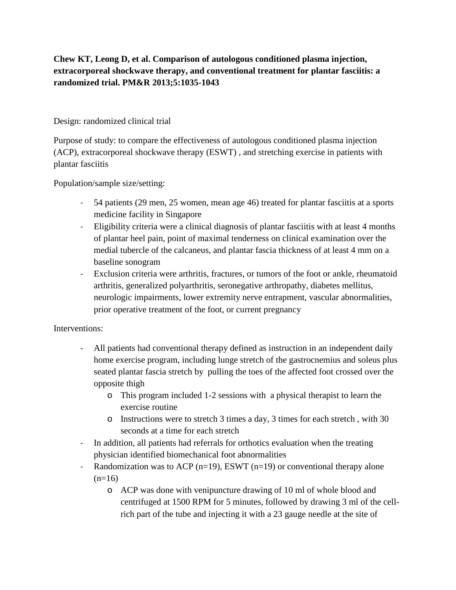# **Chew KT, Leong D, et al. Comparison of autologous conditioned plasma injection, extracorporeal shockwave therapy, and conventional treatment for plantar fasciitis: a randomized trial. PM&R 2013;5:1035-1043**

### Design: randomized clinical trial

Purpose of study: to compare the effectiveness of autologous conditioned plasma injection (ACP), extracorporeal shockwave therapy (ESWT) , and stretching exercise in patients with plantar fasciitis

Population/sample size/setting:

- 54 patients (29 men, 25 women, mean age 46) treated for plantar fasciitis at a sports medicine facility in Singapore
- Eligibility criteria were a clinical diagnosis of plantar fasciitis with at least 4 months of plantar heel pain, point of maximal tenderness on clinical examination over the medial tubercle of the calcaneus, and plantar fascia thickness of at least 4 mm on a baseline sonogram
- Exclusion criteria were arthritis, fractures, or tumors of the foot or ankle, rheumatoid arthritis, generalized polyarthritis, seronegative arthropathy, diabetes mellitus, neurologic impairments, lower extremity nerve entrapment, vascular abnormalities, prior operative treatment of the foot, or current pregnancy

## Interventions:

- All patients had conventional therapy defined as instruction in an independent daily home exercise program, including lunge stretch of the gastrocnemius and soleus plus seated plantar fascia stretch by pulling the toes of the affected foot crossed over the opposite thigh
	- o This program included 1-2 sessions with a physical therapist to learn the exercise routine
	- $\circ$  Instructions were to stretch 3 times a day, 3 times for each stretch, with 30 seconds at a time for each stretch
- In addition, all patients had referrals for orthotics evaluation when the treating physician identified biomechanical foot abnormalities
- Randomization was to ACP ( $n=19$ ), ESWT ( $n=19$ ) or conventional therapy alone  $(n=16)$ 
	- o ACP was done with venipuncture drawing of 10 ml of whole blood and centrifuged at 1500 RPM for 5 minutes, followed by drawing 3 ml of the cellrich part of the tube and injecting it with a 23 gauge needle at the site of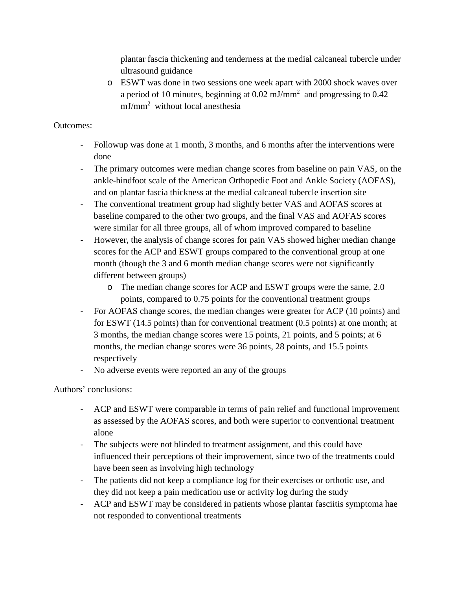plantar fascia thickening and tenderness at the medial calcaneal tubercle under ultrasound guidance

o ESWT was done in two sessions one week apart with 2000 shock waves over a period of 10 minutes, beginning at  $0.02 \text{ mJ/mm}^2$  and progressing to  $0.42$ mJ/mm2 without local anesthesia

### Outcomes:

- Followup was done at 1 month, 3 months, and 6 months after the interventions were done
- The primary outcomes were median change scores from baseline on pain VAS, on the ankle-hindfoot scale of the American Orthopedic Foot and Ankle Society (AOFAS), and on plantar fascia thickness at the medial calcaneal tubercle insertion site
- The conventional treatment group had slightly better VAS and AOFAS scores at baseline compared to the other two groups, and the final VAS and AOFAS scores were similar for all three groups, all of whom improved compared to baseline
- However, the analysis of change scores for pain VAS showed higher median change scores for the ACP and ESWT groups compared to the conventional group at one month (though the 3 and 6 month median change scores were not significantly different between groups)
	- o The median change scores for ACP and ESWT groups were the same, 2.0 points, compared to 0.75 points for the conventional treatment groups
- For AOFAS change scores, the median changes were greater for ACP (10 points) and for ESWT (14.5 points) than for conventional treatment (0.5 points) at one month; at 3 months, the median change scores were 15 points, 21 points, and 5 points; at 6 months, the median change scores were 36 points, 28 points, and 15.5 points respectively
- No adverse events were reported an any of the groups

## Authors' conclusions:

- ACP and ESWT were comparable in terms of pain relief and functional improvement as assessed by the AOFAS scores, and both were superior to conventional treatment alone
- The subjects were not blinded to treatment assignment, and this could have influenced their perceptions of their improvement, since two of the treatments could have been seen as involving high technology
- The patients did not keep a compliance log for their exercises or orthotic use, and they did not keep a pain medication use or activity log during the study
- ACP and ESWT may be considered in patients whose plantar fasciitis symptoma hae not responded to conventional treatments